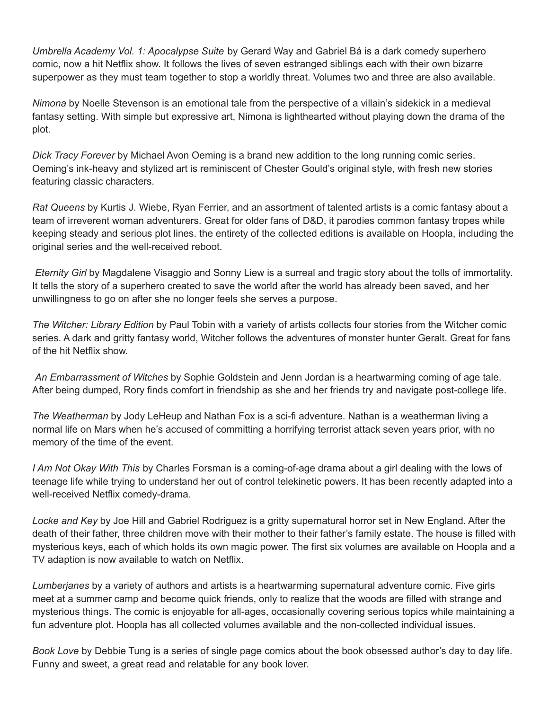*Umbrella Academy Vol. 1: Apocalypse Suite* by Gerard Way and Gabriel Bá is a dark comedy superhero comic, now a hit Netflix show. It follows the lives of seven estranged siblings each with their own bizarre superpower as they must team together to stop a worldly threat. Volumes two and three are also available.

*Nimona* by Noelle Stevenson is an emotional tale from the perspective of a villain's sidekick in a medieval fantasy setting. With simple but expressive art, Nimona is lighthearted without playing down the drama of the plot.

*Dick Tracy Forever* by Michael Avon Oeming is a brand new addition to the long running comic series. Oeming's ink-heavy and stylized art is reminiscent of Chester Gould's original style, with fresh new stories featuring classic characters.

*Rat Queens* by Kurtis J. Wiebe, Ryan Ferrier, and an assortment of talented artists is a comic fantasy about a team of irreverent woman adventurers. Great for older fans of D&D, it parodies common fantasy tropes while keeping steady and serious plot lines. the entirety of the collected editions is available on Hoopla, including the original series and the well-received reboot.

*Eternity Girl* by Magdalene Visaggio and Sonny Liew is a surreal and tragic story about the tolls of immortality. It tells the story of a superhero created to save the world after the world has already been saved, and her unwillingness to go on after she no longer feels she serves a purpose.

*The Witcher: Library Edition* by Paul Tobin with a variety of artists collects four stories from the Witcher comic series. A dark and gritty fantasy world, Witcher follows the adventures of monster hunter Geralt. Great for fans of the hit Netflix show.

*An Embarrassment of Witches* by Sophie Goldstein and Jenn Jordan is a heartwarming coming of age tale. After being dumped, Rory finds comfort in friendship as she and her friends try and navigate post-college life.

*The Weatherman* by Jody LeHeup and Nathan Fox is a sci-fi adventure. Nathan is a weatherman living a normal life on Mars when he's accused of committing a horrifying terrorist attack seven years prior, with no memory of the time of the event.

*I Am Not Okay With This* by Charles Forsman is a coming-of-age drama about a girl dealing with the lows of teenage life while trying to understand her out of control telekinetic powers. It has been recently adapted into a well-received Netflix comedy-drama.

*Locke and Key* by Joe Hill and Gabriel Rodriguez is a gritty supernatural horror set in New England. After the death of their father, three children move with their mother to their father's family estate. The house is filled with mysterious keys, each of which holds its own magic power. The first six volumes are available on Hoopla and a TV adaption is now available to watch on Netflix.

*Lumberjanes* by a variety of authors and artists is a heartwarming supernatural adventure comic. Five girls meet at a summer camp and become quick friends, only to realize that the woods are filled with strange and mysterious things. The comic is enjoyable for all-ages, occasionally covering serious topics while maintaining a fun adventure plot. Hoopla has all collected volumes available and the non-collected individual issues.

*Book Love* by Debbie Tung is a series of single page comics about the book obsessed author's day to day life. Funny and sweet, a great read and relatable for any book lover.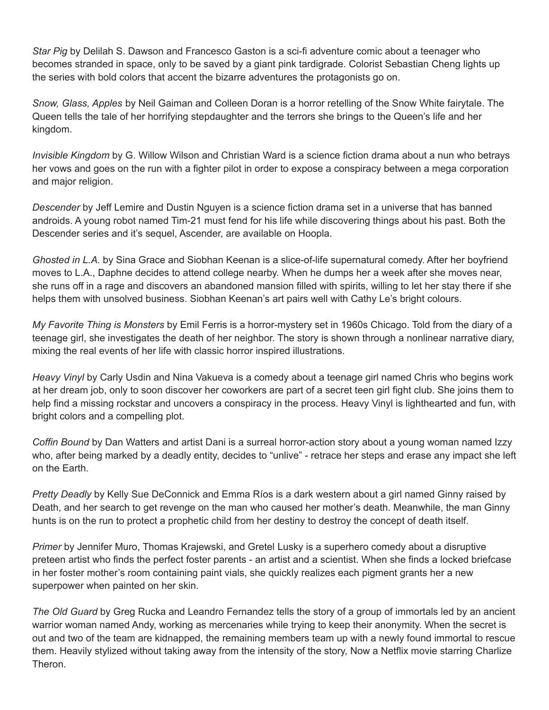*Star Pig* by Delilah S. Dawson and Francesco Gaston is a sci-fi adventure comic about a teenager who becomes stranded in space, only to be saved by a giant pink tardigrade. Colorist Sebastian Cheng lights up the series with bold colors that accent the bizarre adventures the protagonists go on.

*Snow, Glass, Apples* by Neil Gaiman and Colleen Doran is a horror retelling of the Snow White fairytale. The Queen tells the tale of her horrifying stepdaughter and the terrors she brings to the Queen's life and her kingdom.

*Invisible Kingdom* by G. Willow Wilson and Christian Ward is a science fiction drama about a nun who betrays her vows and goes on the run with a fighter pilot in order to expose a conspiracy between a mega corporation and major religion.

*Descender* by Jeff Lemire and Dustin Nguyen is a science fiction drama set in a universe that has banned androids. A young robot named Tim-21 must fend for his life while discovering things about his past. Both the Descender series and it's sequel, Ascender, are available on Hoopla.

*Ghosted in L.A.* by Sina Grace and Siobhan Keenan is a slice-of-life supernatural comedy. After her boyfriend moves to L.A., Daphne decides to attend college nearby. When he dumps her a week after she moves near, she runs off in a rage and discovers an abandoned mansion filled with spirits, willing to let her stay there if she helps them with unsolved business. Siobhan Keenan's art pairs well with Cathy Le's bright colours.

*My Favorite Thing is Monsters* by Emil Ferris is a horror-mystery set in 1960s Chicago. Told from the diary of a teenage girl, she investigates the death of her neighbor. The story is shown through a nonlinear narrative diary, mixing the real events of her life with classic horror inspired illustrations.

*Heavy Vinyl* by Carly Usdin and Nina Vakueva is a comedy about a teenage girl named Chris who begins work at her dream job, only to soon discover her coworkers are part of a secret teen girl fight club. She joins them to help find a missing rockstar and uncovers a conspiracy in the process. Heavy Vinyl is lighthearted and fun, with bright colors and a compelling plot.

*Coffin Bound* by Dan Watters and artist Dani is a surreal horror-action story about a young woman named Izzy who, after being marked by a deadly entity, decides to "unlive" - retrace her steps and erase any impact she left on the Earth.

*Pretty Deadly* by Kelly Sue DeConnick and Emma Ríos is a dark western about a girl named Ginny raised by Death, and her search to get revenge on the man who caused her mother's death. Meanwhile, the man Ginny hunts is on the run to protect a prophetic child from her destiny to destroy the concept of death itself.

*Primer* by Jennifer Muro, Thomas Krajewski, and Gretel Lusky is a superhero comedy about a disruptive preteen artist who finds the perfect foster parents - an artist and a scientist. When she finds a locked briefcase in her foster mother's room containing paint vials, she quickly realizes each pigment grants her a new superpower when painted on her skin.

*The Old Guard* by Greg Rucka and Leandro Fernandez tells the story of a group of immortals led by an ancient warrior woman named Andy, working as mercenaries while trying to keep their anonymity. When the secret is out and two of the team are kidnapped, the remaining members team up with a newly found immortal to rescue them. Heavily stylized without taking away from the intensity of the story, Now a Netflix movie starring Charlize Theron.